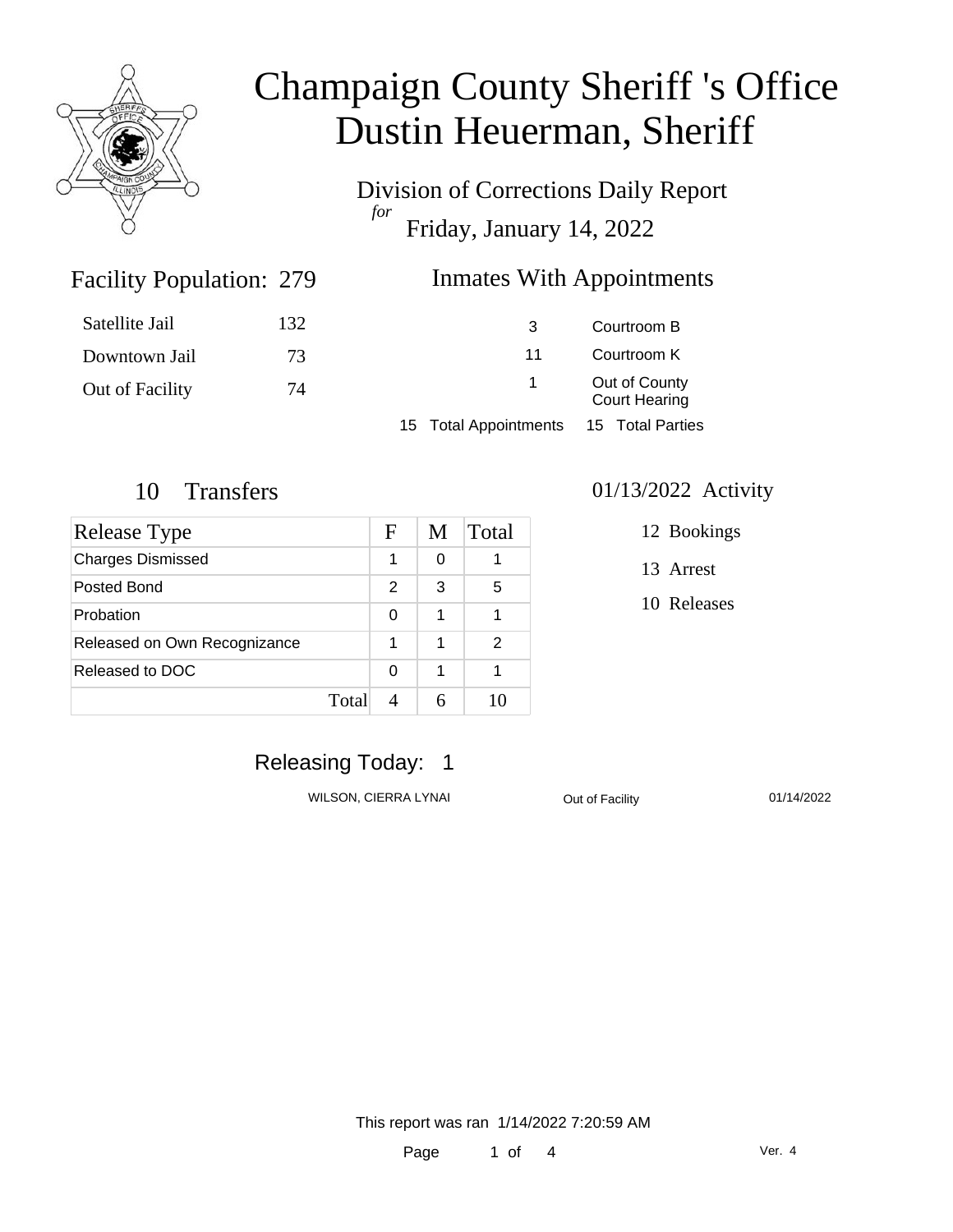

Division of Corrections Daily Report *for* Friday, January 14, 2022

#### **Inmates With Appointments**

| Satellite Jail  | 132 | 3                     | Courtroom B                           |  |
|-----------------|-----|-----------------------|---------------------------------------|--|
| Downtown Jail   | 73  | 11                    | Courtroom K                           |  |
| Out of Facility | 74  |                       | Out of County<br><b>Court Hearing</b> |  |
|                 |     | 15 Total Appointments | 15 Total Parties                      |  |
|                 |     |                       |                                       |  |

Facility Population: 279

| <b>Release Type</b>          |       | F             | M | Total |
|------------------------------|-------|---------------|---|-------|
| <b>Charges Dismissed</b>     |       | 1             | 0 |       |
| Posted Bond                  |       | $\mathcal{P}$ | 3 | 5     |
| Probation                    |       | 0             | 1 |       |
| Released on Own Recognizance |       |               | 1 | 2     |
| Released to DOC              |       | 0             | 1 |       |
|                              | Total |               |   |       |

#### 10 Transfers 01/13/2022 Activity

- 12 Bookings
- 13 Arrest
- 10 Releases

### Releasing Today: 1

WILSON, CIERRA LYNAI Cut of Facility 01/14/2022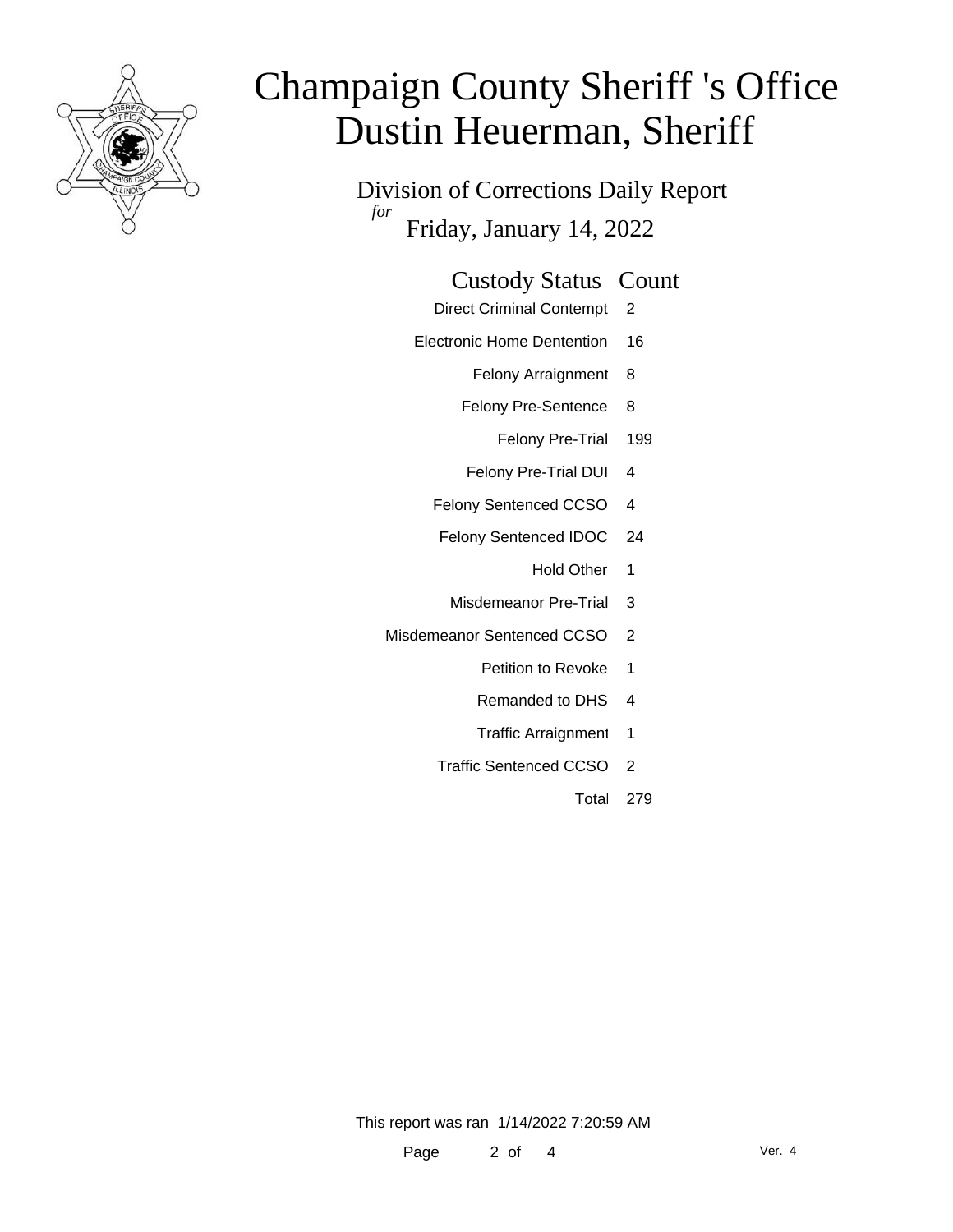

Division of Corrections Daily Report *for* Friday, January 14, 2022

| <b>Custody Status Count</b> |  |
|-----------------------------|--|
|-----------------------------|--|

- Direct Criminal Contempt 2
- Electronic Home Dentention 16
	- Felony Arraignment 8
	- Felony Pre-Sentence 8
		- Felony Pre-Trial 199
	- Felony Pre-Trial DUI 4
	- Felony Sentenced CCSO 4
	- Felony Sentenced IDOC 24
		- Hold Other 1
		- Misdemeanor Pre-Trial 3
- Misdemeanor Sentenced CCSO 2
	- Petition to Revoke 1
	- Remanded to DHS 4
	- Traffic Arraignment 1
	- Traffic Sentenced CCSO 2
		- Total 279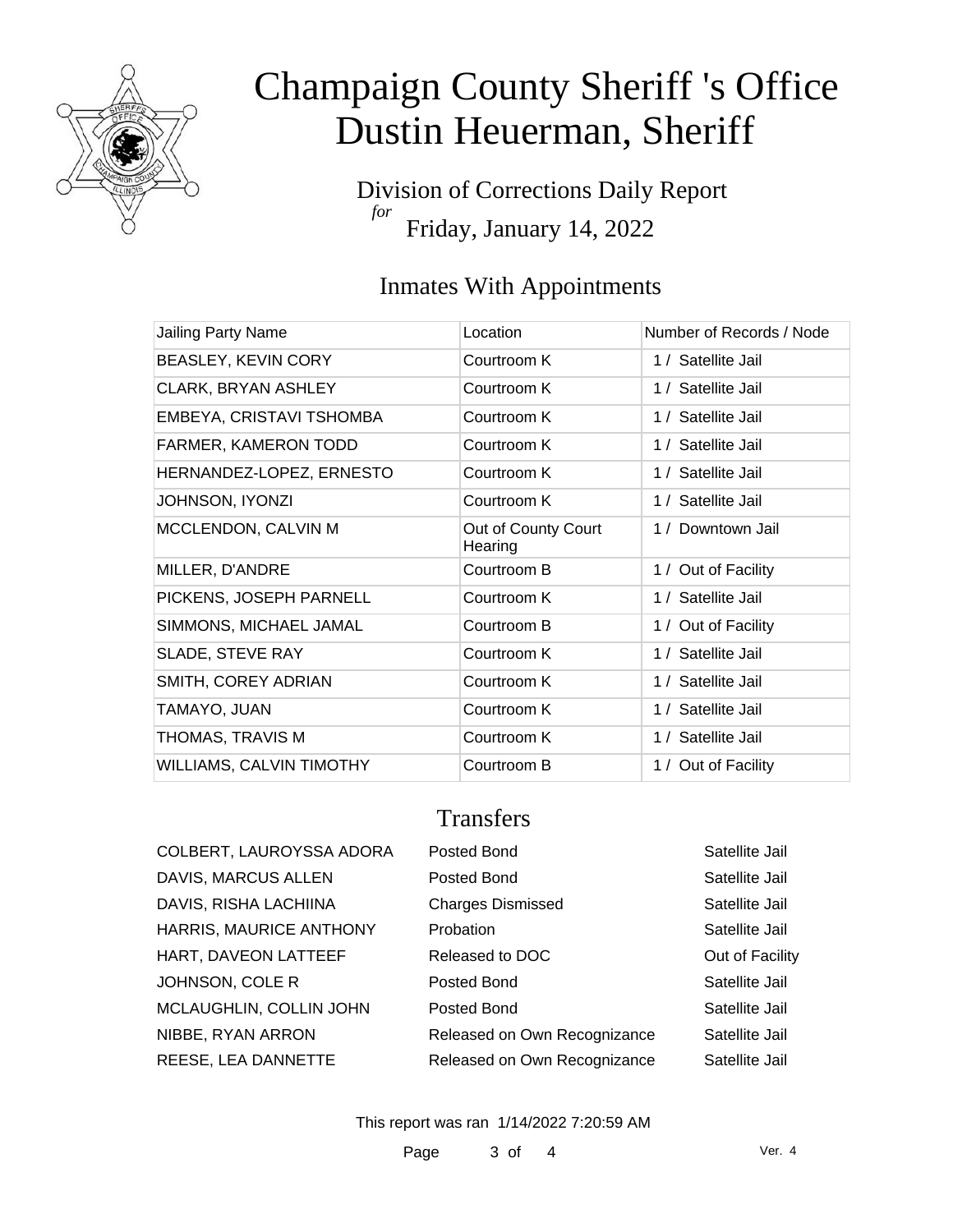

Division of Corrections Daily Report *for* Friday, January 14, 2022

### Inmates With Appointments

| Jailing Party Name              | Location                       | Number of Records / Node |
|---------------------------------|--------------------------------|--------------------------|
| BEASLEY, KEVIN CORY             | Courtroom K                    | 1 / Satellite Jail       |
| CLARK, BRYAN ASHLEY             | Courtroom K                    | 1 / Satellite Jail       |
| EMBEYA, CRISTAVI TSHOMBA        | Courtroom K                    | 1 / Satellite Jail       |
| FARMER, KAMERON TODD            | Courtroom K                    | 1 / Satellite Jail       |
| HERNANDEZ-LOPEZ, ERNESTO        | Courtroom K                    | 1 / Satellite Jail       |
| JOHNSON, IYONZI                 | Courtroom K                    | 1 / Satellite Jail       |
| MCCLENDON, CALVIN M             | Out of County Court<br>Hearing | 1 / Downtown Jail        |
| MILLER, D'ANDRE                 | Courtroom B                    | 1 / Out of Facility      |
| PICKENS, JOSEPH PARNELL         | Courtroom K                    | 1 / Satellite Jail       |
| SIMMONS, MICHAEL JAMAL          | Courtroom B                    | 1 / Out of Facility      |
| SLADE, STEVE RAY                | Courtroom K                    | 1 / Satellite Jail       |
| SMITH, COREY ADRIAN             | Courtroom K                    | 1 / Satellite Jail       |
| TAMAYO, JUAN                    | Courtroom K                    | 1 / Satellite Jail       |
| THOMAS, TRAVIS M                | Courtroom K                    | 1 / Satellite Jail       |
| <b>WILLIAMS, CALVIN TIMOTHY</b> | Courtroom B                    | 1 / Out of Facility      |
|                                 |                                |                          |

#### **Transfers**

| COLBERT, LAUROYSSA ADORA | Posted Bond                  | Satellite Jail  |
|--------------------------|------------------------------|-----------------|
| DAVIS, MARCUS ALLEN      | Posted Bond                  | Satellite Jail  |
| DAVIS, RISHA LACHIINA    | <b>Charges Dismissed</b>     | Satellite Jail  |
| HARRIS, MAURICE ANTHONY  | Probation                    | Satellite Jail  |
| HART, DAVEON LATTEEF     | Released to DOC              | Out of Facility |
| JOHNSON, COLE R          | Posted Bond                  | Satellite Jail  |
| MCLAUGHLIN, COLLIN JOHN  | Posted Bond                  | Satellite Jail  |
| NIBBE, RYAN ARRON        | Released on Own Recognizance | Satellite Jail  |
| REESE, LEA DANNETTE      | Released on Own Recognizance | Satellite Jail  |